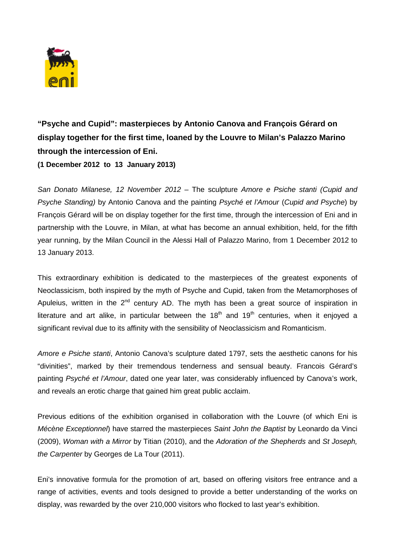

## **"Psyche and Cupid": masterpieces by Antonio Canova and François Gérard on display together for the first time, loaned by the Louvre to Milan's Palazzo Marino through the intercession of Eni. (1 December 2012 to 13 January 2013)**

*San Donato Milanese, 12 November 2012 –* The sculpture *Amore e Psiche stanti (Cupid and Psyche Standing)* by Antonio Canova and the painting *Psyché et l'Amour* (*Cupid and Psyche*) by François Gérard will be on display together for the first time, through the intercession of Eni and in partnership with the Louvre, in Milan, at what has become an annual exhibition, held, for the fifth year running, by the Milan Council in the Alessi Hall of Palazzo Marino, from 1 December 2012 to 13 January 2013.

This extraordinary exhibition is dedicated to the masterpieces of the greatest exponents of Neoclassicism, both inspired by the myth of Psyche and Cupid, taken from the Metamorphoses of Apuleius, written in the  $2^{nd}$  century AD. The myth has been a great source of inspiration in literature and art alike, in particular between the  $18<sup>th</sup>$  and  $19<sup>th</sup>$  centuries, when it enjoyed a significant revival due to its affinity with the sensibility of Neoclassicism and Romanticism.

*Amore e Psiche stanti*, Antonio Canova's sculpture dated 1797, sets the aesthetic canons for his "divinities", marked by their tremendous tenderness and sensual beauty. Francois Gérard's painting *Psyché et l'Amour*, dated one year later, was considerably influenced by Canova's work, and reveals an erotic charge that gained him great public acclaim.

Previous editions of the exhibition organised in collaboration with the Louvre (of which Eni is *Mécène Exceptionnel*) have starred the masterpieces *Saint John the Baptist* by Leonardo da Vinci (2009), *Woman with a Mirror* by Titian (2010), and the *Adoration of the Shepherds* and *St Joseph, the Carpenter* by Georges de La Tour (2011).

Eni's innovative formula for the promotion of art, based on offering visitors free entrance and a range of activities, events and tools designed to provide a better understanding of the works on display, was rewarded by the over 210,000 visitors who flocked to last year's exhibition.